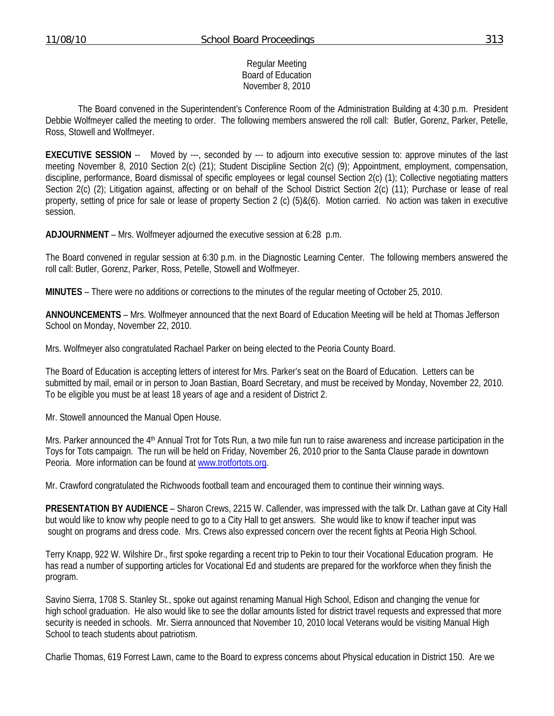### Regular Meeting Board of Education November 8, 2010

 The Board convened in the Superintendent's Conference Room of the Administration Building at 4:30 p.m. President Debbie Wolfmeyer called the meeting to order. The following members answered the roll call: Butler, Gorenz, Parker, Petelle, Ross, Stowell and Wolfmeyer.

**EXECUTIVE SESSION** -- Moved by ---, seconded by --- to adjourn into executive session to: approve minutes of the last meeting November 8, 2010 Section 2(c) (21); Student Discipline Section 2(c) (9); Appointment, employment, compensation, discipline, performance, Board dismissal of specific employees or legal counsel Section 2(c) (1); Collective negotiating matters Section 2(c) (2); Litigation against, affecting or on behalf of the School District Section 2(c) (11); Purchase or lease of real property, setting of price for sale or lease of property Section 2 (c) (5)&(6). Motion carried. No action was taken in executive session.

**ADJOURNMENT** – Mrs. Wolfmeyer adjourned the executive session at 6:28 p.m.

The Board convened in regular session at 6:30 p.m. in the Diagnostic Learning Center. The following members answered the roll call: Butler, Gorenz, Parker, Ross, Petelle, Stowell and Wolfmeyer.

**MINUTES** – There were no additions or corrections to the minutes of the regular meeting of October 25, 2010.

**ANNOUNCEMENTS** – Mrs. Wolfmeyer announced that the next Board of Education Meeting will be held at Thomas Jefferson School on Monday, November 22, 2010.

Mrs. Wolfmeyer also congratulated Rachael Parker on being elected to the Peoria County Board.

The Board of Education is accepting letters of interest for Mrs. Parker's seat on the Board of Education. Letters can be submitted by mail, email or in person to Joan Bastian, Board Secretary, and must be received by Monday, November 22, 2010. To be eligible you must be at least 18 years of age and a resident of District 2.

Mr. Stowell announced the Manual Open House.

Mrs. Parker announced the 4th Annual Trot for Tots Run, a two mile fun run to raise awareness and increase participation in the Toys for Tots campaign. The run will be held on Friday, November 26, 2010 prior to the Santa Clause parade in downtown Peoria. More information can be found at www.trotfortots.org.

Mr. Crawford congratulated the Richwoods football team and encouraged them to continue their winning ways.

**PRESENTATION BY AUDIENCE** – Sharon Crews, 2215 W. Callender, was impressed with the talk Dr. Lathan gave at City Hall but would like to know why people need to go to a City Hall to get answers. She would like to know if teacher input was sought on programs and dress code. Mrs. Crews also expressed concern over the recent fights at Peoria High School.

Terry Knapp, 922 W. Wilshire Dr., first spoke regarding a recent trip to Pekin to tour their Vocational Education program. He has read a number of supporting articles for Vocational Ed and students are prepared for the workforce when they finish the program.

Savino Sierra, 1708 S. Stanley St., spoke out against renaming Manual High School, Edison and changing the venue for high school graduation. He also would like to see the dollar amounts listed for district travel requests and expressed that more security is needed in schools. Mr. Sierra announced that November 10, 2010 local Veterans would be visiting Manual High School to teach students about patriotism.

Charlie Thomas, 619 Forrest Lawn, came to the Board to express concerns about Physical education in District 150. Are we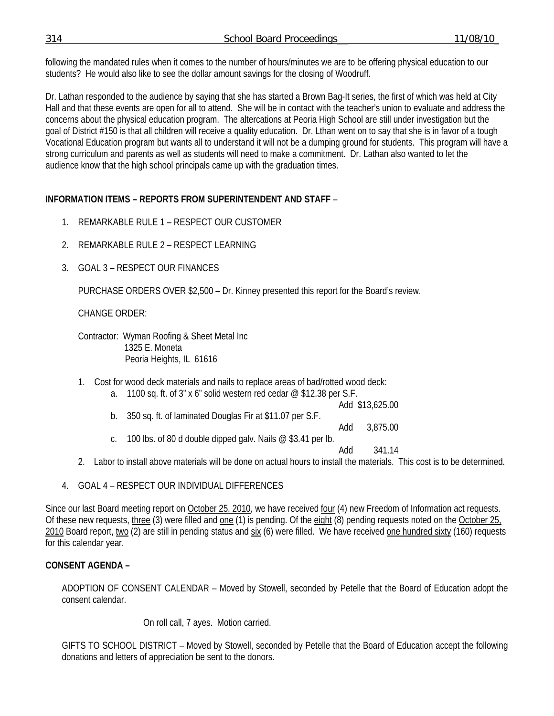following the mandated rules when it comes to the number of hours/minutes we are to be offering physical education to our students? He would also like to see the dollar amount savings for the closing of Woodruff.

Dr. Lathan responded to the audience by saying that she has started a Brown Bag-It series, the first of which was held at City Hall and that these events are open for all to attend. She will be in contact with the teacher's union to evaluate and address the concerns about the physical education program. The altercations at Peoria High School are still under investigation but the goal of District #150 is that all children will receive a quality education. Dr. Lthan went on to say that she is in favor of a tough Vocational Education program but wants all to understand it will not be a dumping ground for students. This program will have a strong curriculum and parents as well as students will need to make a commitment. Dr. Lathan also wanted to let the audience know that the high school principals came up with the graduation times.

## **INFORMATION ITEMS – REPORTS FROM SUPERINTENDENT AND STAFF** –

- 1. REMARKABLE RULE 1 RESPECT OUR CUSTOMER
- 2. REMARKABLE RULE 2 RESPECT LEARNING
- 3. GOAL 3 RESPECT OUR FINANCES

PURCHASE ORDERS OVER \$2,500 – Dr. Kinney presented this report for the Board's review.

CHANGE ORDER:

 Contractor: Wyman Roofing & Sheet Metal Inc 1325 E. Moneta Peoria Heights, IL 61616

- 1. Cost for wood deck materials and nails to replace areas of bad/rotted wood deck:
	- a. 1100 sq. ft. of  $3''$  x 6" solid western red cedar  $@$  \$12.38 per S.F.

Add \$13,625.00

b. 350 sq. ft. of laminated Douglas Fir at \$11.07 per S.F.

Add 3,875.00

c. 100 lbs. of 80 d double dipped galv. Nails  $@$  \$3.41 per lb.

Add 341.14

- 2. Labor to install above materials will be done on actual hours to install the materials. This cost is to be determined.
- 4. GOAL 4 RESPECT OUR INDIVIDUAL DIFFERENCES

Since our last Board meeting report on October 25, 2010, we have received four (4) new Freedom of Information act requests. Of these new requests, three (3) were filled and one (1) is pending. Of the eight (8) pending requests noted on the October 25, 2010 Board report, two (2) are still in pending status and six (6) were filled. We have received one hundred sixty (160) requests for this calendar year.

## **CONSENT AGENDA –**

ADOPTION OF CONSENT CALENDAR – Moved by Stowell, seconded by Petelle that the Board of Education adopt the consent calendar.

On roll call, 7 ayes. Motion carried.

GIFTS TO SCHOOL DISTRICT – Moved by Stowell, seconded by Petelle that the Board of Education accept the following donations and letters of appreciation be sent to the donors.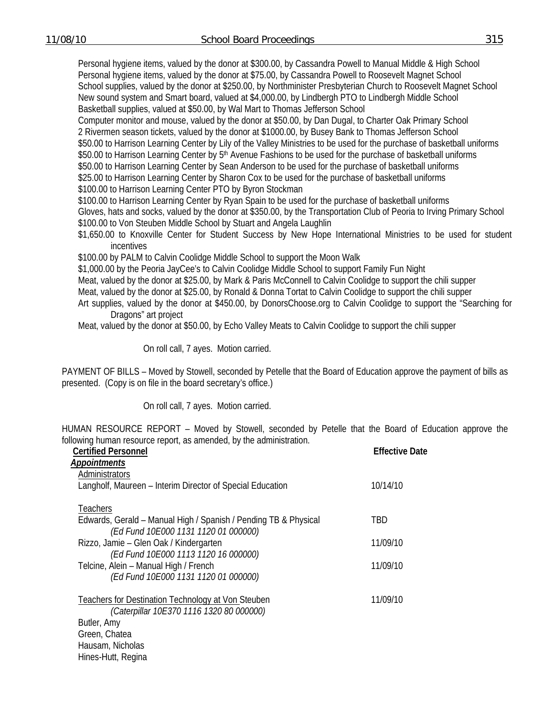Personal hygiene items, valued by the donor at \$300.00, by Cassandra Powell to Manual Middle & High School Personal hygiene items, valued by the donor at \$75.00, by Cassandra Powell to Roosevelt Magnet School School supplies, valued by the donor at \$250.00, by Northminister Presbyterian Church to Roosevelt Magnet School New sound system and Smart board, valued at \$4,000.00, by Lindbergh PTO to Lindbergh Middle School Basketball supplies, valued at \$50.00, by Wal Mart to Thomas Jefferson School

Computer monitor and mouse, valued by the donor at \$50.00, by Dan Dugal, to Charter Oak Primary School 2 Rivermen season tickets, valued by the donor at \$1000.00, by Busey Bank to Thomas Jefferson School \$50.00 to Harrison Learning Center by Lily of the Valley Ministries to be used for the purchase of basketball uniforms \$50.00 to Harrison Learning Center by 5<sup>th</sup> Avenue Fashions to be used for the purchase of basketball uniforms \$50.00 to Harrison Learning Center by Sean Anderson to be used for the purchase of basketball uniforms \$25.00 to Harrison Learning Center by Sharon Cox to be used for the purchase of basketball uniforms

\$100.00 to Harrison Learning Center PTO by Byron Stockman

\$100.00 to Harrison Learning Center by Ryan Spain to be used for the purchase of basketball uniforms Gloves, hats and socks, valued by the donor at \$350.00, by the Transportation Club of Peoria to Irving Primary School \$100.00 to Von Steuben Middle School by Stuart and Angela Laughlin

\$1,650.00 to Knoxville Center for Student Success by New Hope International Ministries to be used for student incentives

\$100.00 by PALM to Calvin Coolidge Middle School to support the Moon Walk

\$1,000.00 by the Peoria JayCee's to Calvin Coolidge Middle School to support Family Fun Night

Meat, valued by the donor at \$25.00, by Mark & Paris McConnell to Calvin Coolidge to support the chili supper

Meat, valued by the donor at \$25.00, by Ronald & Donna Tortat to Calvin Coolidge to support the chili supper

Art supplies, valued by the donor at \$450.00, by DonorsChoose.org to Calvin Coolidge to support the "Searching for Dragons" art project

Meat, valued by the donor at \$50.00, by Echo Valley Meats to Calvin Coolidge to support the chili supper

On roll call, 7 ayes. Motion carried.

PAYMENT OF BILLS – Moved by Stowell, seconded by Petelle that the Board of Education approve the payment of bills as presented. (Copy is on file in the board secretary's office.)

On roll call, 7 ayes. Motion carried.

HUMAN RESOURCE REPORT – Moved by Stowell, seconded by Petelle that the Board of Education approve the following human resource report, as amended, by the administration.

| <b>Certified Personnel</b>                                                                              | <b>Effective Date</b> |
|---------------------------------------------------------------------------------------------------------|-----------------------|
| <b>Appointments</b>                                                                                     |                       |
| Administrators                                                                                          |                       |
| Langholf, Maureen - Interim Director of Special Education                                               | 10/14/10              |
| Teachers                                                                                                |                       |
| Edwards, Gerald – Manual High / Spanish / Pending TB & Physical<br>(Ed Fund 10E000 1131 1120 01 000000) | TBD                   |
| Rizzo, Jamie – Glen Oak / Kindergarten                                                                  | 11/09/10              |
| (Ed Fund 10E000 1113 1120 16 000000)                                                                    |                       |
| Telcine, Alein - Manual High / French                                                                   | 11/09/10              |
| (Ed Fund 10E000 1131 1120 01 000000)                                                                    |                       |
| Teachers for Destination Technology at Von Steuben                                                      | 11/09/10              |
| (Caterpillar 10E370 1116 1320 80 000000)                                                                |                       |
| Butler, Amy                                                                                             |                       |
| Green, Chatea                                                                                           |                       |
| Hausam, Nicholas                                                                                        |                       |
| Hines-Hutt, Regina                                                                                      |                       |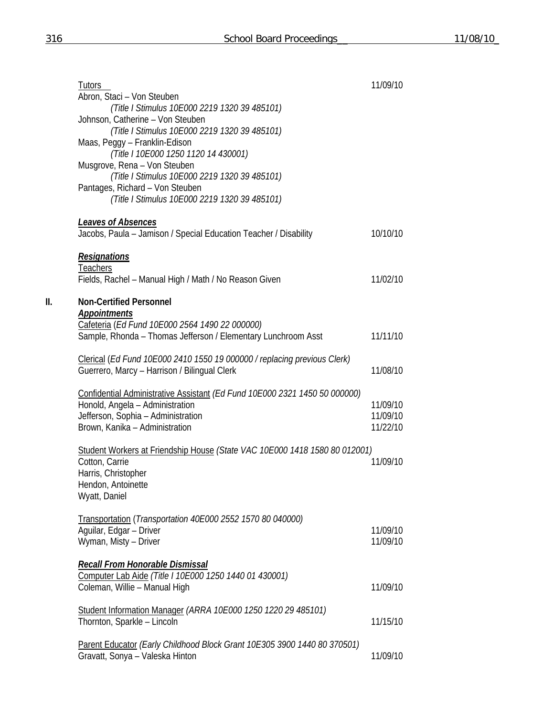|     | Tutors<br>Abron, Staci - Von Steuben                                                                            | 11/09/10             |
|-----|-----------------------------------------------------------------------------------------------------------------|----------------------|
|     | (Title I Stimulus 10E000 2219 1320 39 485101)                                                                   |                      |
|     | Johnson, Catherine - Von Steuben<br>(Title I Stimulus 10E000 2219 1320 39 485101)                               |                      |
|     | Maas, Peggy - Franklin-Edison                                                                                   |                      |
|     | (Title I 10E000 1250 1120 14 430001)<br>Musgrove, Rena - Von Steuben                                            |                      |
|     | (Title I Stimulus 10E000 2219 1320 39 485101)                                                                   |                      |
|     | Pantages, Richard - Von Steuben<br>(Title I Stimulus 10E000 2219 1320 39 485101)                                |                      |
|     | <b>Leaves of Absences</b>                                                                                       |                      |
|     | Jacobs, Paula - Jamison / Special Education Teacher / Disability                                                | 10/10/10             |
|     | <b>Resignations</b>                                                                                             |                      |
|     | <b>Teachers</b><br>Fields, Rachel - Manual High / Math / No Reason Given                                        | 11/02/10             |
| II. | <b>Non-Certified Personnel</b>                                                                                  |                      |
|     | <b>Appointments</b>                                                                                             |                      |
|     | Cafeteria (Ed Fund 10E000 2564 1490 22 000000)<br>Sample, Rhonda - Thomas Jefferson / Elementary Lunchroom Asst | 11/11/10             |
|     | Clerical (Ed Fund 10E000 2410 1550 19 000000 / replacing previous Clerk)                                        |                      |
|     | Guerrero, Marcy - Harrison / Bilingual Clerk                                                                    | 11/08/10             |
|     | Confidential Administrative Assistant (Ed Fund 10E000 2321 1450 50 000000)                                      |                      |
|     | Honold, Angela - Administration                                                                                 | 11/09/10             |
|     | Jefferson, Sophia - Administration<br>Brown, Kanika - Administration                                            | 11/09/10<br>11/22/10 |
|     |                                                                                                                 |                      |
|     | Student Workers at Friendship House (State VAC 10E000 1418 1580 80 012001)<br>Cotton, Carrie                    | 11/09/10             |
|     | Harris, Christopher                                                                                             |                      |
|     | Hendon, Antoinette<br>Wyatt, Daniel                                                                             |                      |
|     |                                                                                                                 |                      |
|     | Transportation (Transportation 40E000 2552 1570 80 040000)<br>Aguilar, Edgar - Driver                           | 11/09/10             |
|     | Wyman, Misty - Driver                                                                                           | 11/09/10             |
|     | Recall From Honorable Dismissal                                                                                 |                      |
|     | Computer Lab Aide (Title I 10E000 1250 1440 01 430001)                                                          |                      |
|     | Coleman, Willie - Manual High                                                                                   | 11/09/10             |
|     | Student Information Manager (ARRA 10E000 1250 1220 29 485101)                                                   |                      |
|     | Thornton, Sparkle - Lincoln                                                                                     | 11/15/10             |
|     | Parent Educator (Early Childhood Block Grant 10E305 3900 1440 80 370501)                                        |                      |
|     | Gravatt, Sonya - Valeska Hinton                                                                                 | 11/09/10             |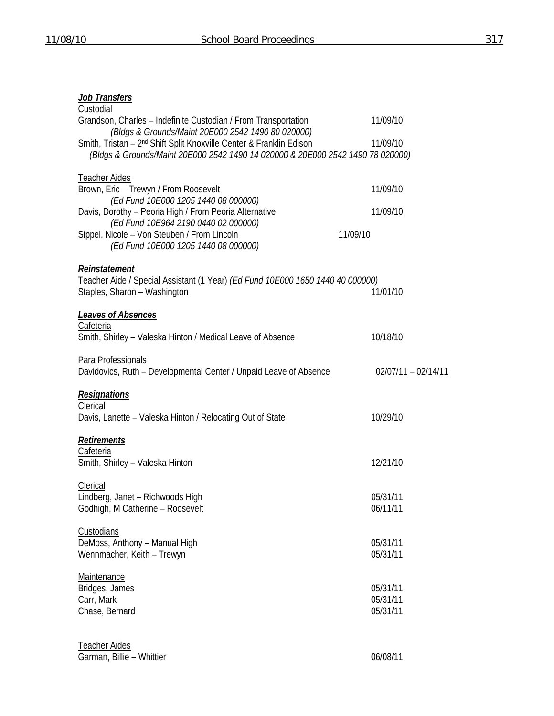# *Job Transfers*

| Custodial                                                                                                            |                       |
|----------------------------------------------------------------------------------------------------------------------|-----------------------|
| Grandson, Charles - Indefinite Custodian / From Transportation<br>(Bldgs & Grounds/Maint 20E000 2542 1490 80 020000) | 11/09/10              |
| Smith, Tristan - 2 <sup>nd</sup> Shift Split Knoxville Center & Franklin Edison                                      | 11/09/10              |
| (Bldgs & Grounds/Maint 20E000 2542 1490 14 020000 & 20E000 2542 1490 78 020000)                                      |                       |
| <b>Teacher Aides</b>                                                                                                 |                       |
| Brown, Eric - Trewyn / From Roosevelt                                                                                | 11/09/10              |
| (Ed Fund 10E000 1205 1440 08 000000)<br>Davis, Dorothy - Peoria High / From Peoria Alternative                       | 11/09/10              |
| (Ed Fund 10E964 2190 0440 02 000000)                                                                                 |                       |
| Sippel, Nicole - Von Steuben / From Lincoln<br>(Ed Fund 10E000 1205 1440 08 000000)                                  | 11/09/10              |
| Reinstatement                                                                                                        |                       |
| Teacher Aide / Special Assistant (1 Year) (Ed Fund 10E000 1650 1440 40 000000)                                       |                       |
| Staples, Sharon - Washington                                                                                         | 11/01/10              |
| <b>Leaves of Absences</b>                                                                                            |                       |
| Cafeteria                                                                                                            |                       |
| Smith, Shirley - Valeska Hinton / Medical Leave of Absence                                                           | 10/18/10              |
| Para Professionals                                                                                                   |                       |
| Davidovics, Ruth - Developmental Center / Unpaid Leave of Absence                                                    | $02/07/11 - 02/14/11$ |
| <b>Resignations</b>                                                                                                  |                       |
| Clerical                                                                                                             |                       |
| Davis, Lanette - Valeska Hinton / Relocating Out of State                                                            | 10/29/10              |
| Retirements                                                                                                          |                       |
| Cafeteria<br>Smith, Shirley - Valeska Hinton                                                                         | 12/21/10              |
|                                                                                                                      |                       |
| Clerical                                                                                                             |                       |
| Lindberg, Janet - Richwoods High<br>Godhigh, M Catherine - Roosevelt                                                 | 05/31/11<br>06/11/11  |
|                                                                                                                      |                       |
| Custodians                                                                                                           |                       |
| DeMoss, Anthony - Manual High<br>Wennmacher, Keith - Trewyn                                                          | 05/31/11<br>05/31/11  |
|                                                                                                                      |                       |
| <b>Maintenance</b>                                                                                                   |                       |
| Bridges, James<br>Carr, Mark                                                                                         | 05/31/11<br>05/31/11  |
| Chase, Bernard                                                                                                       | 05/31/11              |
|                                                                                                                      |                       |
| <b>Teacher Aides</b>                                                                                                 |                       |
|                                                                                                                      |                       |

Garman, Billie – Whittier **DETERENT COMMUNISTIER** 06/08/11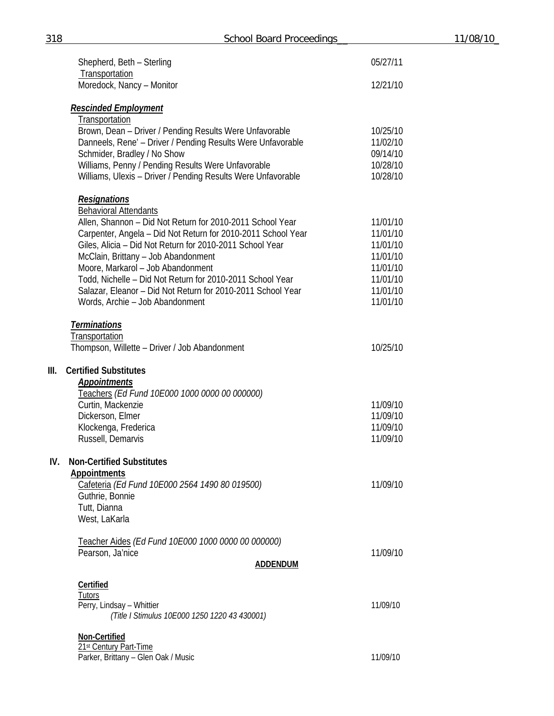|      | Shepherd, Beth - Sterling<br>Transportation                                                                        | 05/27/11             |
|------|--------------------------------------------------------------------------------------------------------------------|----------------------|
|      | Moredock, Nancy - Monitor                                                                                          | 12/21/10             |
|      | <u>Rescinded Employment</u><br>Transportation                                                                      |                      |
|      | Brown, Dean - Driver / Pending Results Were Unfavorable                                                            | 10/25/10             |
|      | Danneels, Rene' - Driver / Pending Results Were Unfavorable                                                        | 11/02/10             |
|      | Schmider, Bradley / No Show                                                                                        | 09/14/10             |
|      | Williams, Penny / Pending Results Were Unfavorable<br>Williams, Ulexis - Driver / Pending Results Were Unfavorable | 10/28/10<br>10/28/10 |
|      | <b>Resignations</b>                                                                                                |                      |
|      | <b>Behavioral Attendants</b>                                                                                       |                      |
|      | Allen, Shannon - Did Not Return for 2010-2011 School Year                                                          | 11/01/10             |
|      | Carpenter, Angela - Did Not Return for 2010-2011 School Year                                                       | 11/01/10             |
|      | Giles, Alicia - Did Not Return for 2010-2011 School Year                                                           | 11/01/10             |
|      | McClain, Brittany - Job Abandonment                                                                                | 11/01/10             |
|      | Moore, Markarol - Job Abandonment                                                                                  | 11/01/10             |
|      | Todd, Nichelle - Did Not Return for 2010-2011 School Year                                                          | 11/01/10             |
|      | Salazar, Eleanor - Did Not Return for 2010-2011 School Year                                                        | 11/01/10             |
|      | Words, Archie - Job Abandonment                                                                                    | 11/01/10             |
|      | <b>Terminations</b>                                                                                                |                      |
|      | <b>Transportation</b>                                                                                              |                      |
|      | Thompson, Willette - Driver / Job Abandonment                                                                      | 10/25/10             |
| III. | <b>Certified Substitutes</b>                                                                                       |                      |
|      | <b>Appointments</b>                                                                                                |                      |
|      | Teachers (Ed Fund 10E000 1000 0000 00 000000)                                                                      |                      |
|      | Curtin, Mackenzie                                                                                                  | 11/09/10             |
|      | Dickerson, Elmer<br>Klockenga, Frederica                                                                           | 11/09/10<br>11/09/10 |
|      | Russell, Demarvis                                                                                                  | 11/09/10             |
|      |                                                                                                                    |                      |
| IV.  | <b>Non-Certified Substitutes</b><br><b>Appointments</b>                                                            |                      |
|      | Cafeteria (Ed Fund 10E000 2564 1490 80 019500)                                                                     | 11/09/10             |
|      | Guthrie, Bonnie                                                                                                    |                      |
|      | Tutt, Dianna                                                                                                       |                      |
|      | West, LaKarla                                                                                                      |                      |
|      | Teacher Aides (Ed Fund 10E000 1000 0000 00 000000)                                                                 |                      |
|      | Pearson, Ja'nice                                                                                                   | 11/09/10             |
|      | ADDENDUM                                                                                                           |                      |
|      | Certified                                                                                                          |                      |
|      | Tutors                                                                                                             |                      |
|      | Perry, Lindsay - Whittier<br>(Title I Stimulus 10E000 1250 1220 43 430001)                                         | 11/09/10             |
|      | Non-Certified                                                                                                      |                      |
|      | 21st Century Part-Time                                                                                             |                      |
|      | Parker, Brittany - Glen Oak / Music                                                                                | 11/09/10             |

**III. Certified Substitutes**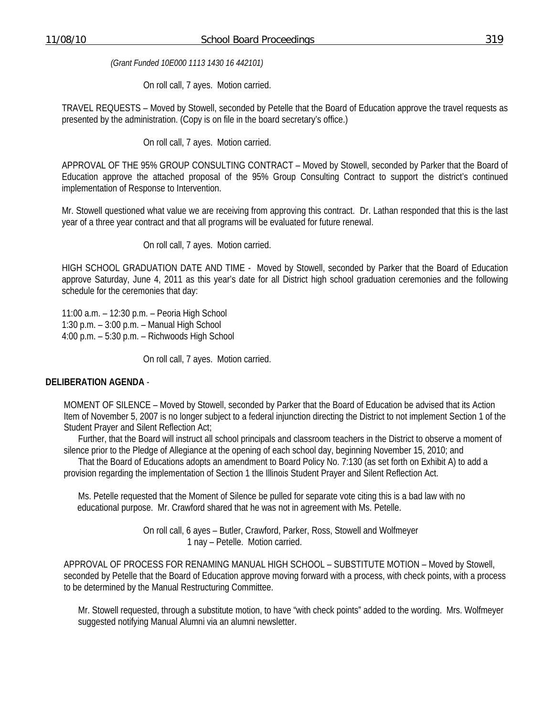*(Grant Funded 10E000 1113 1430 16 442101)* 

On roll call, 7 ayes. Motion carried.

TRAVEL REQUESTS – Moved by Stowell, seconded by Petelle that the Board of Education approve the travel requests as presented by the administration. (Copy is on file in the board secretary's office.)

On roll call, 7 ayes. Motion carried.

APPROVAL OF THE 95% GROUP CONSULTING CONTRACT – Moved by Stowell, seconded by Parker that the Board of Education approve the attached proposal of the 95% Group Consulting Contract to support the district's continued implementation of Response to Intervention.

Mr. Stowell questioned what value we are receiving from approving this contract. Dr. Lathan responded that this is the last year of a three year contract and that all programs will be evaluated for future renewal.

On roll call, 7 ayes. Motion carried.

HIGH SCHOOL GRADUATION DATE AND TIME - Moved by Stowell, seconded by Parker that the Board of Education approve Saturday, June 4, 2011 as this year's date for all District high school graduation ceremonies and the following schedule for the ceremonies that day:

11:00 a.m. – 12:30 p.m. – Peoria High School 1:30 p.m. – 3:00 p.m. – Manual High School 4:00 p.m. – 5:30 p.m. – Richwoods High School

On roll call, 7 ayes. Motion carried.

### **DELIBERATION AGENDA** -

 MOMENT OF SILENCE – Moved by Stowell, seconded by Parker that the Board of Education be advised that its Action Item of November 5, 2007 is no longer subject to a federal injunction directing the District to not implement Section 1 of the Student Prayer and Silent Reflection Act;

 Further, that the Board will instruct all school principals and classroom teachers in the District to observe a moment of silence prior to the Pledge of Allegiance at the opening of each school day, beginning November 15, 2010; and

 That the Board of Educations adopts an amendment to Board Policy No. 7:130 (as set forth on Exhibit A) to add a provision regarding the implementation of Section 1 the Illinois Student Prayer and Silent Reflection Act.

 Ms. Petelle requested that the Moment of Silence be pulled for separate vote citing this is a bad law with no educational purpose. Mr. Crawford shared that he was not in agreement with Ms. Petelle.

> On roll call, 6 ayes – Butler, Crawford, Parker, Ross, Stowell and Wolfmeyer 1 nay – Petelle. Motion carried.

 APPROVAL OF PROCESS FOR RENAMING MANUAL HIGH SCHOOL – SUBSTITUTE MOTION – Moved by Stowell, seconded by Petelle that the Board of Education approve moving forward with a process, with check points, with a process to be determined by the Manual Restructuring Committee.

Mr. Stowell requested, through a substitute motion, to have "with check points" added to the wording. Mrs. Wolfmeyer suggested notifying Manual Alumni via an alumni newsletter.